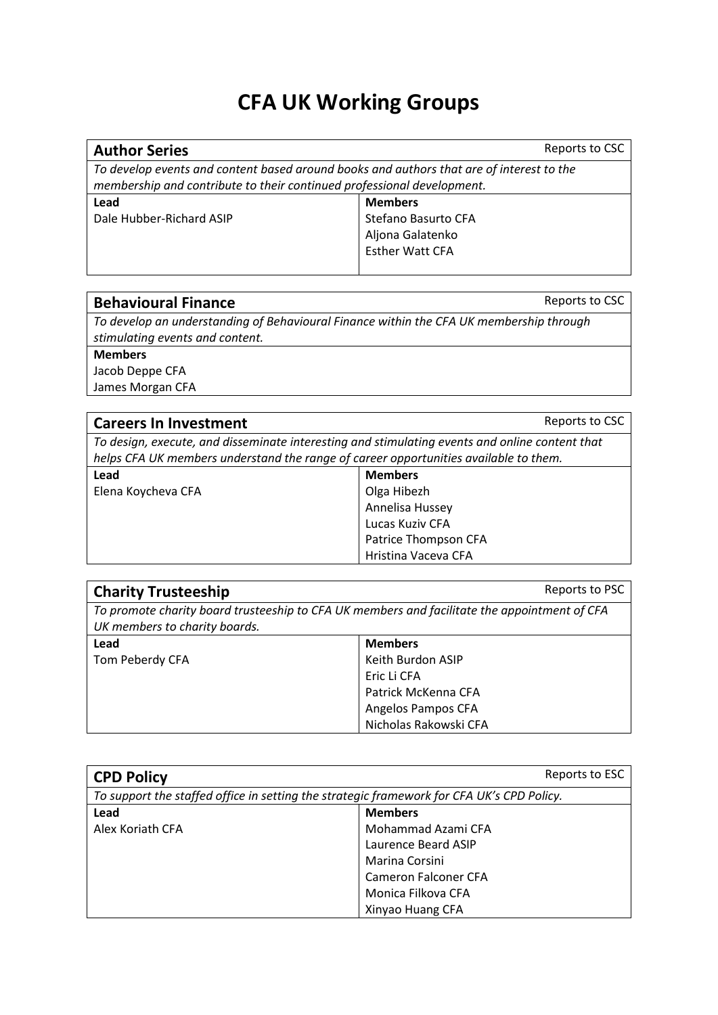# **CFA UK Working Groups**

#### **Author Series** Reports to CSC

*To develop events and content based around books and authors that are of interest to the membership and contribute to their continued professional development.*

**Lead**

Dale Hubber-Richard ASIP

**Members** Stefano Basurto CFA Aljona Galatenko Esther Watt CFA

### **Behavioural Finance Reports to CSC**

*To develop an understanding of Behavioural Finance within the CFA UK membership through stimulating events and content.*

**Members** Jacob Deppe CFA

James Morgan CFA

| <b>Careers In Investment</b>                                                                   | Reports to CSC |
|------------------------------------------------------------------------------------------------|----------------|
| To design, execute, and disseminate interesting and stimulating events and online content that |                |
| helps CFA UK members understand the range of career opportunities available to them.           |                |
| 100d                                                                                           | <b>Momborc</b> |

| Lead               | <b>Members</b>       |
|--------------------|----------------------|
| Elena Koycheva CFA | Olga Hibezh          |
|                    | Annelisa Hussey      |
|                    | Lucas Kuziv CFA      |
|                    | Patrice Thompson CFA |
|                    | Hristina Vaceva CFA  |

| <b>Charity Trusteeship</b>                                                                   | Reports to PSC        |
|----------------------------------------------------------------------------------------------|-----------------------|
| To promote charity board trusteeship to CFA UK members and facilitate the appointment of CFA |                       |
| UK members to charity boards.                                                                |                       |
| Lead                                                                                         | <b>Members</b>        |
| Tom Peberdy CFA                                                                              | Keith Burdon ASIP     |
|                                                                                              | Eric Li CFA           |
|                                                                                              | Patrick McKenna CFA   |
|                                                                                              | Angelos Pampos CFA    |
|                                                                                              | Nicholas Rakowski CFA |

| <b>CPD Policy</b>                                                                         | Reports to ESC       |
|-------------------------------------------------------------------------------------------|----------------------|
| To support the staffed office in setting the strategic framework for CFA UK's CPD Policy. |                      |
| Lead                                                                                      | <b>Members</b>       |
| Alex Koriath CFA                                                                          | Mohammad Azami CFA   |
|                                                                                           | Laurence Beard ASIP  |
|                                                                                           | Marina Corsini       |
|                                                                                           | Cameron Falconer CFA |
|                                                                                           | Monica Filkova CFA   |
|                                                                                           | Xinyao Huang CFA     |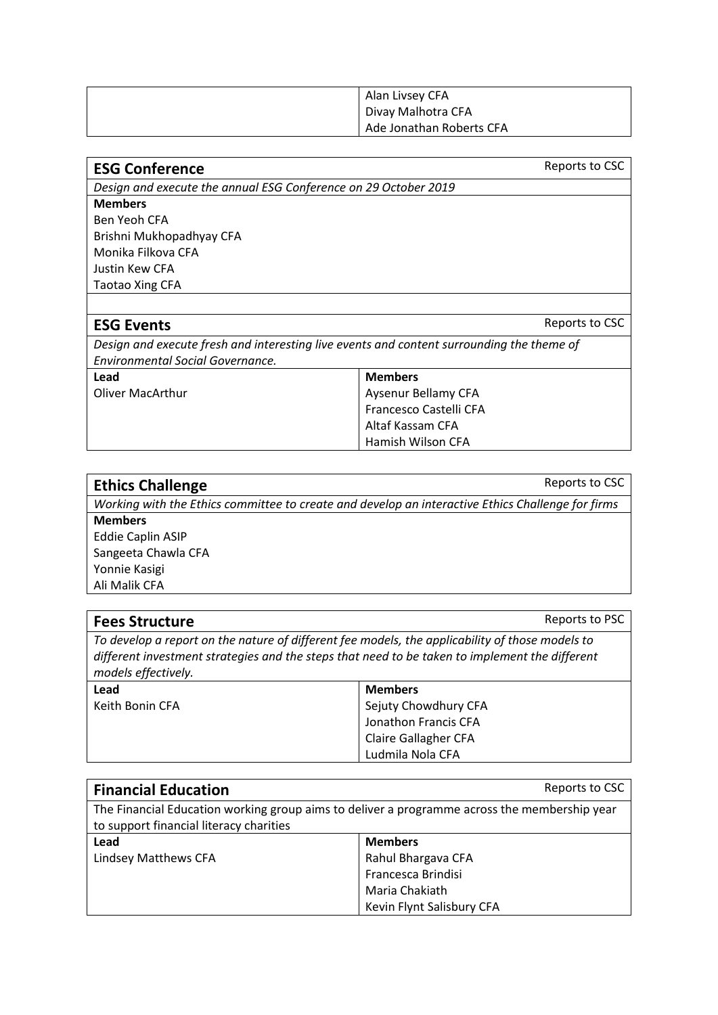| Alan Livsey CFA          |
|--------------------------|
| Divay Malhotra CFA       |
| Ade Jonathan Roberts CFA |

| <b>ESG Conference</b>                                           | Reports to CSC |
|-----------------------------------------------------------------|----------------|
| Design and execute the annual ESG Conference on 29 October 2019 |                |
| <b>Members</b>                                                  |                |
| <b>PUILLER</b>                                                  |                |

Ben Yeoh CFA Brishni Mukhopadhyay CFA Monika Filkova CFA Justin Kew CFA Taotao Xing CFA

#### **ESG Events** Reports to CSC

*Design and execute fresh and interesting live events and content surrounding the theme of Environmental Social Governance.*

| Lead             | <b>Members</b>         |
|------------------|------------------------|
| Oliver MacArthur | Aysenur Bellamy CFA    |
|                  | Francesco Castelli CFA |
|                  | Altaf Kassam CFA       |
|                  | Hamish Wilson CFA      |

| <b>Ethics Challenge</b>                                                                           | Reports to CSC |
|---------------------------------------------------------------------------------------------------|----------------|
| Working with the Ethics committee to create and develop an interactive Ethics Challenge for firms |                |

**Members** Eddie Caplin ASIP Sangeeta Chawla CFA Yonnie Kasigi Ali Malik CFA

| <b>Fees Structure</b>                                                                                                                                                                                                    | Reports to PSC              |
|--------------------------------------------------------------------------------------------------------------------------------------------------------------------------------------------------------------------------|-----------------------------|
| To develop a report on the nature of different fee models, the applicability of those models to<br>different investment strategies and the steps that need to be taken to implement the different<br>models effectively. |                             |
| Lead                                                                                                                                                                                                                     | <b>Members</b>              |
| Keith Bonin CFA                                                                                                                                                                                                          | Sejuty Chowdhury CFA        |
|                                                                                                                                                                                                                          | Jonathon Francis CFA        |
|                                                                                                                                                                                                                          | <b>Claire Gallagher CFA</b> |
|                                                                                                                                                                                                                          | Ludmila Nola CFA            |

| <b>Financial Education</b>                                                                                                              | Reports to CSC            |
|-----------------------------------------------------------------------------------------------------------------------------------------|---------------------------|
| The Financial Education working group aims to deliver a programme across the membership year<br>to support financial literacy charities |                           |
| Lead                                                                                                                                    | <b>Members</b>            |
| Lindsey Matthews CFA                                                                                                                    | Rahul Bhargava CFA        |
|                                                                                                                                         | Francesca Brindisi        |
|                                                                                                                                         | Maria Chakiath            |
|                                                                                                                                         | Kevin Flynt Salisbury CFA |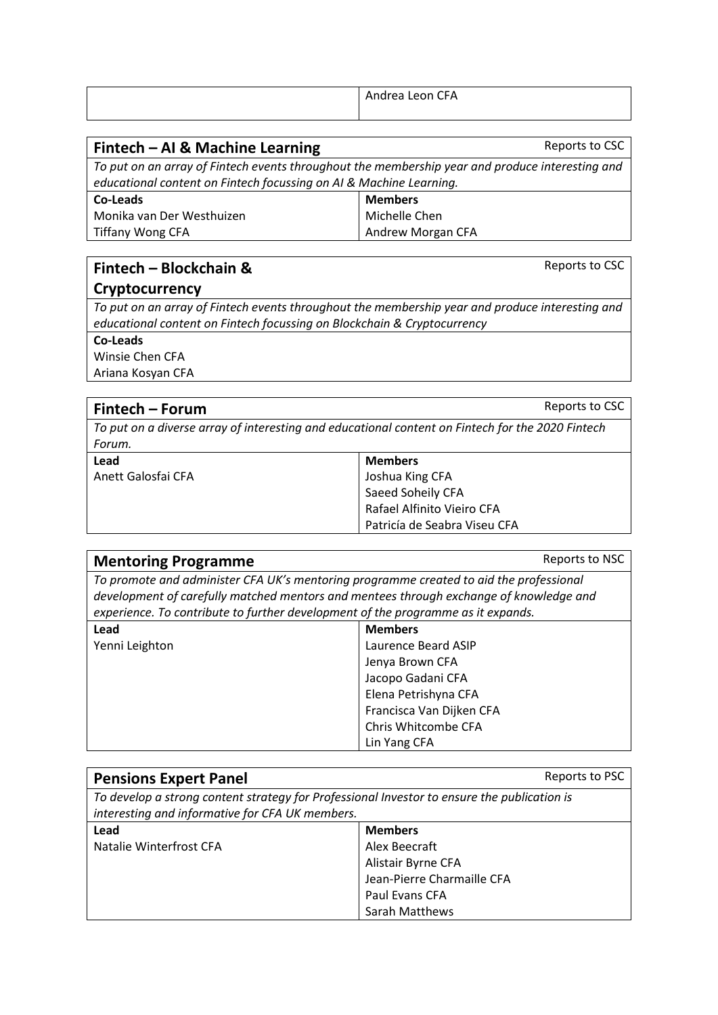| Andrea Leon CFA |
|-----------------|
|                 |

*To put on an array of Fintech events throughout the membership year and produce interesting and educational content on Fintech focussing on AI & Machine Learning.*

**Reports to CSC** 

Reports to CSC

| Co-Leads                  | <b>Members</b>    |
|---------------------------|-------------------|
| Monika van Der Westhuizen | Michelle Chen     |
| <b>Tiffany Wong CFA</b>   | Andrew Morgan CFA |

## **Fintech – Blockchain &**

#### **Cryptocurrency**

*To put on an array of Fintech events throughout the membership year and produce interesting and educational content on Fintech focussing on Blockchain & Cryptocurrency*

**Co-Leads**

Winsie Chen CFA Ariana Kosyan CFA

| Fintech – Forum                                                                                  | Reports to CSC |
|--------------------------------------------------------------------------------------------------|----------------|
| To put on a diverse array of interesting and educational content on Fintech for the 2020 Fintech |                |
| Forum.                                                                                           |                |
| Lead                                                                                             | <b>Members</b> |
| .                                                                                                | .              |

| <b>IVIEIIIDEIS</b>           |
|------------------------------|
| Joshua King CFA              |
| Saeed Soheily CFA            |
| Rafael Alfinito Vieiro CFA   |
| Patricía de Seabra Viseu CFA |
|                              |

| <b>Mentoring Programme</b>                                                                                                                                                       | Reports to NSC           |
|----------------------------------------------------------------------------------------------------------------------------------------------------------------------------------|--------------------------|
| To promote and administer CFA UK's mentoring programme created to aid the professional<br>development of carefully matched mentors and mentees through exchange of knowledge and |                          |
| experience. To contribute to further development of the programme as it expands.                                                                                                 |                          |
| Lead                                                                                                                                                                             | <b>Members</b>           |
| Yenni Leighton                                                                                                                                                                   | Laurence Beard ASIP      |
|                                                                                                                                                                                  | Jenya Brown CFA          |
|                                                                                                                                                                                  | Jacopo Gadani CFA        |
|                                                                                                                                                                                  | Elena Petrishyna CFA     |
|                                                                                                                                                                                  | Francisca Van Dijken CFA |
|                                                                                                                                                                                  | Chris Whitcombe CFA      |

| <b>Pensions Expert Panel</b>                                                                                                                   | Reports to PSC             |
|------------------------------------------------------------------------------------------------------------------------------------------------|----------------------------|
| To develop a strong content strategy for Professional Investor to ensure the publication is<br>interesting and informative for CFA UK members. |                            |
| Lead                                                                                                                                           | <b>Members</b>             |
| Natalie Winterfrost CFA                                                                                                                        | Alex Beecraft              |
|                                                                                                                                                | Alistair Byrne CFA         |
|                                                                                                                                                | Jean-Pierre Charmaille CFA |
|                                                                                                                                                | Paul Evans CFA             |
|                                                                                                                                                | Sarah Matthews             |

Lin Yang CFA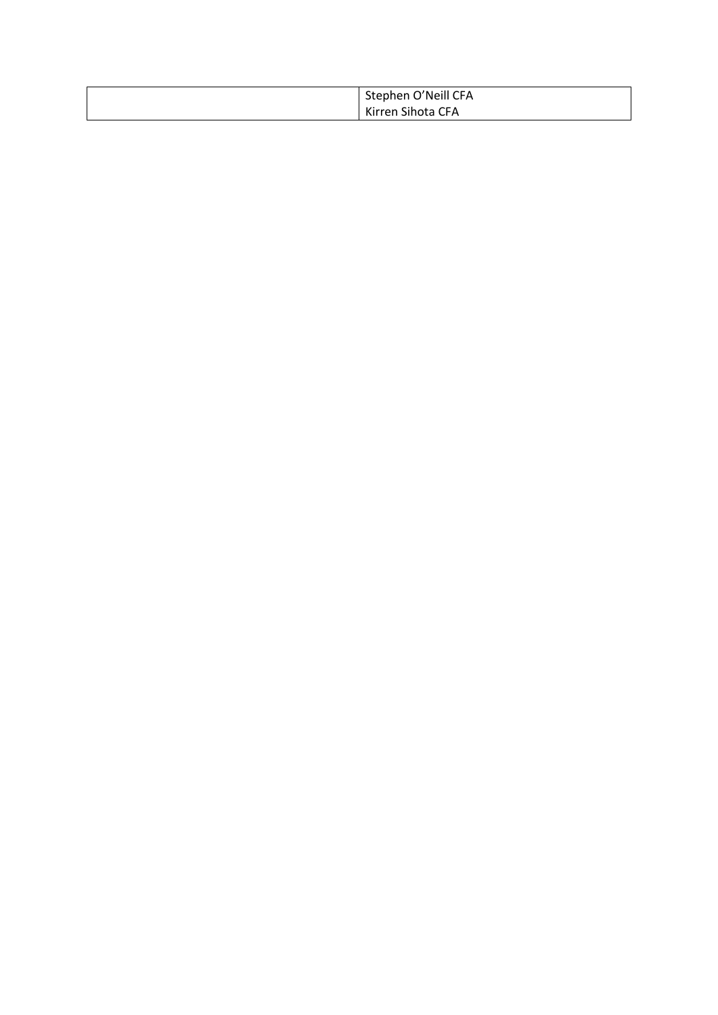| Stephen O'Neill CFA |
|---------------------|
| Kirren Sihota CFA   |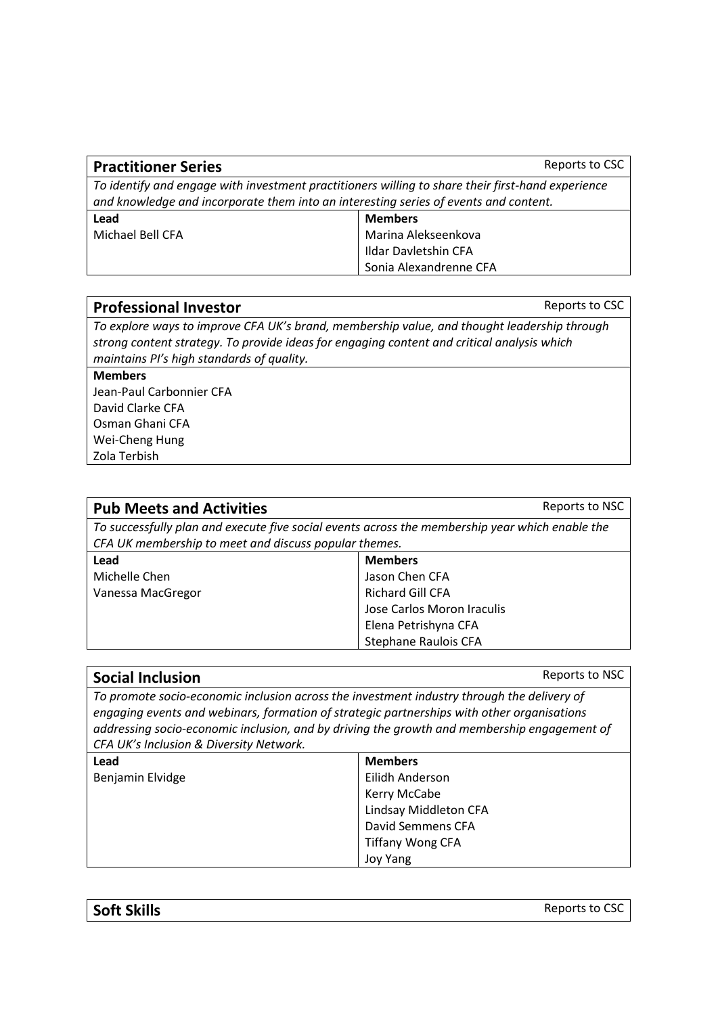| <b>Practitioner Series</b>                                                                        | Reports to CSC              |
|---------------------------------------------------------------------------------------------------|-----------------------------|
| To identify and engage with investment practitioners willing to share their first-hand experience |                             |
| and knowledge and incorporate them into an interesting series of events and content.              |                             |
| Lead                                                                                              | <b>Members</b>              |
| Michael Bell CFA                                                                                  | Marina Alekseenkova         |
|                                                                                                   | <b>Ildar Davletshin CFA</b> |
|                                                                                                   | Sonia Alexandrenne CFA      |

#### **Professional Investor Reports to CSC**

*To explore ways to improve CFA UK's brand, membership value, and thought leadership through strong content strategy. To provide ideas for engaging content and critical analysis which maintains PI's high standards of quality.*

**Members** Jean-Paul Carbonnier CFA David Clarke CFA Osman Ghani CFA Wei-Cheng Hung Zola Terbish

| <b>Pub Meets and Activities</b>                                                                                                                          | Reports to NSC             |
|----------------------------------------------------------------------------------------------------------------------------------------------------------|----------------------------|
| To successfully plan and execute five social events across the membership year which enable the<br>CFA UK membership to meet and discuss popular themes. |                            |
| Lead                                                                                                                                                     | <b>Members</b>             |
| Michelle Chen                                                                                                                                            | Jason Chen CFA             |
| Vanessa MacGregor                                                                                                                                        | <b>Richard Gill CFA</b>    |
|                                                                                                                                                          | Jose Carlos Moron Iraculis |
|                                                                                                                                                          | Elena Petrishyna CFA       |
|                                                                                                                                                          | Stephane Raulois CFA       |

| <b>Social Inclusion</b>                                                                                                                                                                                                                                                                                                            | Reports to NSC          |
|------------------------------------------------------------------------------------------------------------------------------------------------------------------------------------------------------------------------------------------------------------------------------------------------------------------------------------|-------------------------|
| To promote socio-economic inclusion across the investment industry through the delivery of<br>engaging events and webinars, formation of strategic partnerships with other organisations<br>addressing socio-economic inclusion, and by driving the growth and membership engagement of<br>CFA UK's Inclusion & Diversity Network. |                         |
| Lead                                                                                                                                                                                                                                                                                                                               | <b>Members</b>          |
| Benjamin Elvidge                                                                                                                                                                                                                                                                                                                   | Eilidh Anderson         |
|                                                                                                                                                                                                                                                                                                                                    | Kerry McCabe            |
|                                                                                                                                                                                                                                                                                                                                    | Lindsay Middleton CFA   |
|                                                                                                                                                                                                                                                                                                                                    | David Semmens CFA       |
|                                                                                                                                                                                                                                                                                                                                    | <b>Tiffany Wong CFA</b> |
|                                                                                                                                                                                                                                                                                                                                    | <b>Joy Yang</b>         |